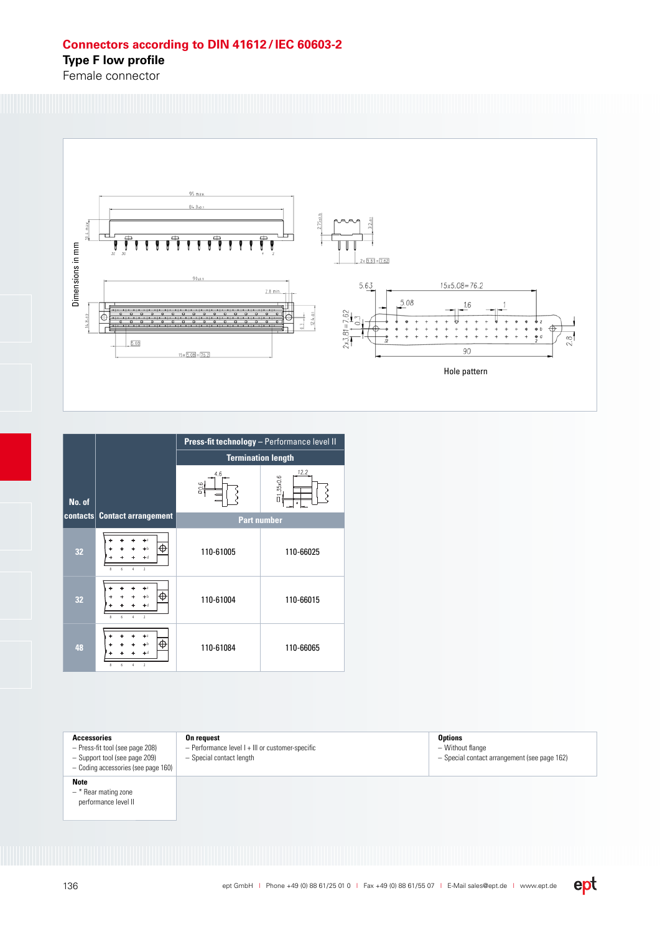## **Connectors according to DIN 41612 / IEC 60603-2**

**Type F low profile** 

Female connector



|        |                                                                                              | Press-fit technology - Performance level II |                     |
|--------|----------------------------------------------------------------------------------------------|---------------------------------------------|---------------------|
|        |                                                                                              | <b>Termination length</b>                   |                     |
| No. of |                                                                                              | 4.6<br>90.6                                 | 12.2<br>$=1.35x0.6$ |
|        | contacts Contact arrangement                                                                 | <b>Part number</b>                          |                     |
| 32     | Æ<br>b b<br>$+ d$<br>$\overline{2}$<br>6<br>$\boldsymbol{\hat{\mathsf{z}}}$<br>A             | 110-61005                                   | 110-66025           |
| 32     | ь,<br>Æ<br>$+ b$<br>$\overline{2}$<br>6<br>$\boldsymbol{\hat{\mathsf{z}}}$<br>$\overline{4}$ | 110-61004                                   | 110-66015           |
| 48     | Æ<br>Þб<br>$\overline{2}$<br>$\boldsymbol{\hat{\mathsf{z}}}$<br>6                            | 110-61084                                   | 110-66065           |

## **Accessories**

- Press-fit tool (see page 208) – Support tool (see page 209)
- Coding accessories (see page 160)

## **Note**

- \* Rear mating zone
- performance level II

**On request**

– Performance level I + III or customer-specific – Special contact length

**Options** – Without flange – Special contact arrangement (see page 162)